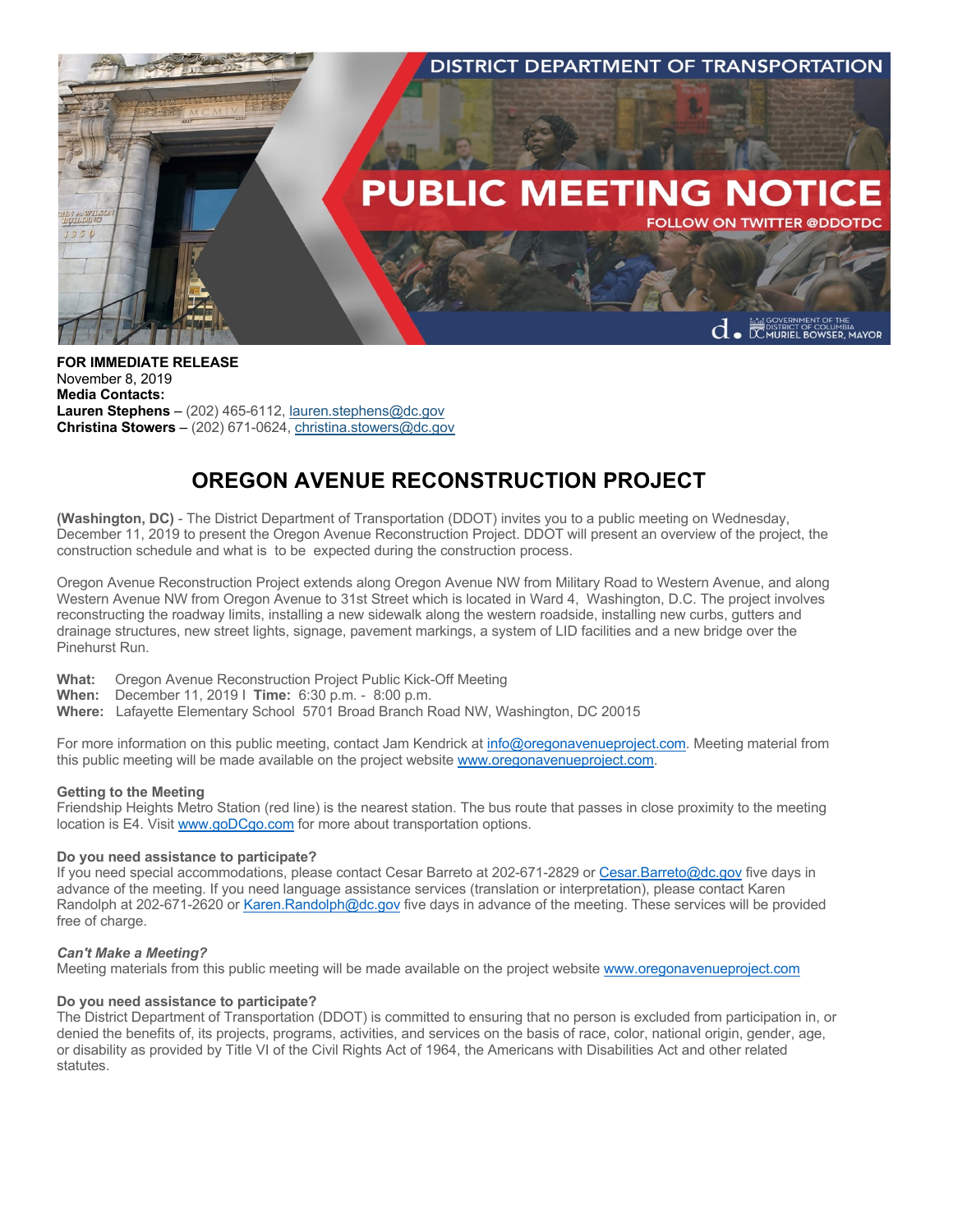

**FOR IMMEDIATE RELEASE** November 8, 2019 **Media Contacts: Lauren Stephens** – (202) 465-6112, lauren.stephens@dc.gov **Christina Stowers** – (202) 671-0624, christina.stowers@dc.gov

# **OREGON AVENUE RECONSTRUCTION PROJECT**

**(Washington, DC)** - The District Department of Transportation (DDOT) invites you to a public meeting on Wednesday, December 11, 2019 to present the Oregon Avenue Reconstruction Project. DDOT will present an overview of the project, the construction schedule and what is to be expected during the construction process.

Oregon Avenue Reconstruction Project extends along Oregon Avenue NW from Military Road to Western Avenue, and along Western Avenue NW from Oregon Avenue to 31st Street which is located in Ward 4, Washington, D.C. The project involves reconstructing the roadway limits, installing a new sidewalk along the western roadside, installing new curbs, gutters and drainage structures, new street lights, signage, pavement markings, a system of LID facilities and a new bridge over the Pinehurst Run.

**What:** Oregon Avenue Reconstruction Project Public Kick-Off Meeting

**When:** December 11, 2019 I **Time:** 6:30 p.m. - 8:00 p.m.

**Where:** Lafayette Elementary School 5701 Broad Branch Road NW, Washington, DC 20015

For more information on this public meeting, contact Jam Kendrick at info@oregonavenueproject.com. Meeting material from this public meeting will be made available on the project website www.oregonavenueproject.com.

# **Getting to the Meeting**

Friendship Heights Metro Station (red line) is the nearest station. The bus route that passes in close proximity to the meeting location is E4. Visit www.goDCgo.com for more about transportation options.

#### **Do you need assistance to participate?**

If you need special accommodations, please contact Cesar Barreto at 202-671-2829 or Cesar.Barreto@dc.gov five days in advance of the meeting. If you need language assistance services (translation or interpretation), please contact Karen Randolph at 202-671-2620 or Karen.Randolph@dc.gov five days in advance of the meeting. These services will be provided free of charge.

#### *Can't Make a Meeting?*

Meeting materials from this public meeting will be made available on the project website www.oregonavenueproject.com

# **Do you need assistance to participate?**

The District Department of Transportation (DDOT) is committed to ensuring that no person is excluded from participation in, or denied the benefits of, its projects, programs, activities, and services on the basis of race, color, national origin, gender, age, or disability as provided by Title VI of the Civil Rights Act of 1964, the Americans with Disabilities Act and other related statutes.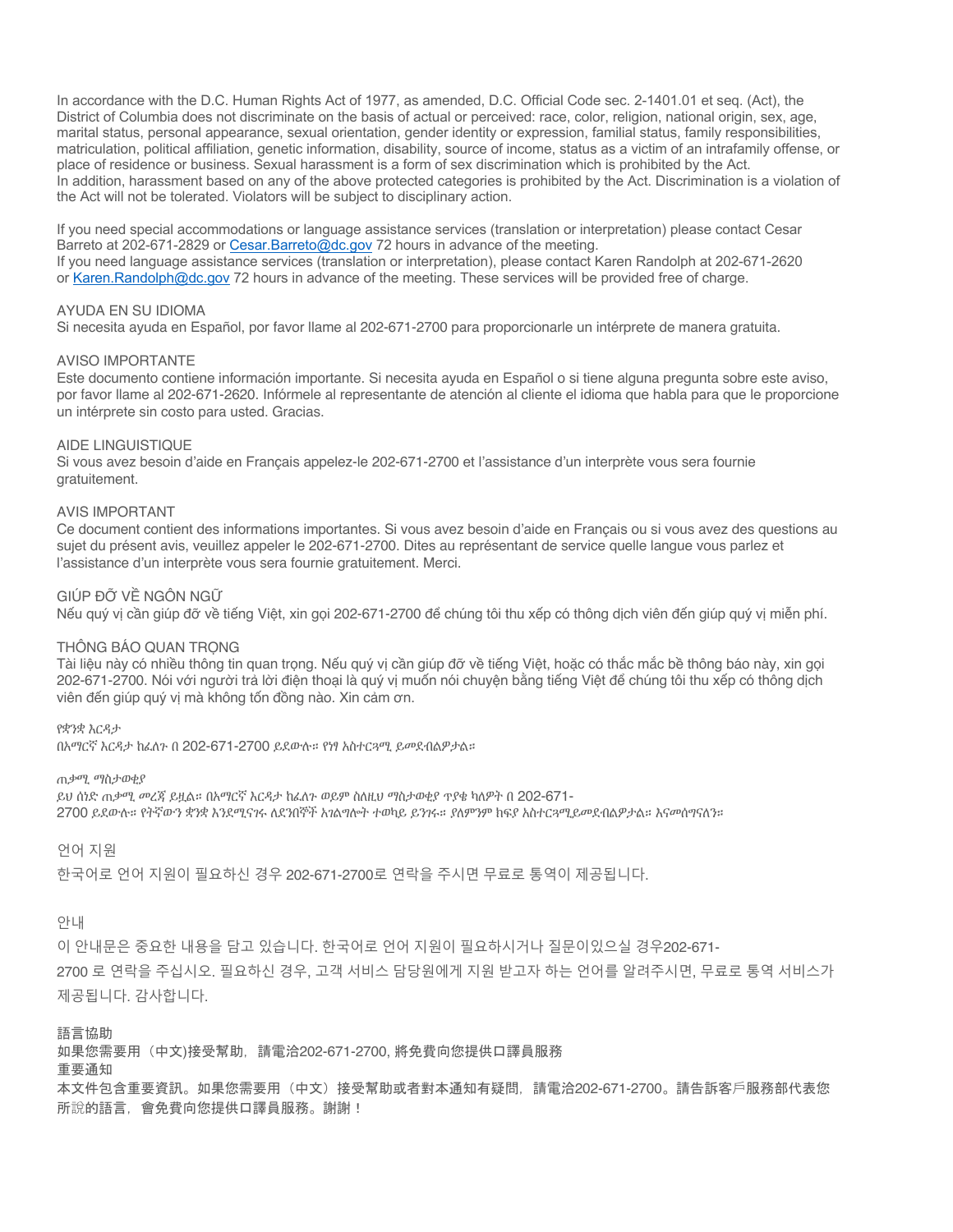In accordance with the D.C. Human Rights Act of 1977, as amended, D.C. Official Code sec. 2-1401.01 et seq. (Act), the District of Columbia does not discriminate on the basis of actual or perceived: race, color, religion, national origin, sex, age, marital status, personal appearance, sexual orientation, gender identity or expression, familial status, family responsibilities, matriculation, political affiliation, genetic information, disability, source of income, status as a victim of an intrafamily offense, or place of residence or business. Sexual harassment is a form of sex discrimination which is prohibited by the Act. In addition, harassment based on any of the above protected categories is prohibited by the Act. Discrimination is a violation of the Act will not be tolerated. Violators will be subject to disciplinary action.

If you need special accommodations or language assistance services (translation or interpretation) please contact Cesar Barreto at 202-671-2829 or Cesar.Barreto@dc.gov 72 hours in advance of the meeting. If you need language assistance services (translation or interpretation), please contact Karen Randolph at 202-671-2620 or Karen.Randolph@dc.gov 72 hours in advance of the meeting. These services will be provided free of charge.

# AYUDA EN SU IDIOMA

Si necesita ayuda en Español, por favor llame al 202-671-2700 para proporcionarle un intérprete de manera gratuita.

#### AVISO IMPORTANTE

Este documento contiene información importante. Si necesita ayuda en Español o si tiene alguna pregunta sobre este aviso, por favor llame al 202-671-2620. Infórmele al representante de atención al cliente el idioma que habla para que le proporcione un intérprete sin costo para usted. Gracias.

# AIDE LINGUISTIQUE

Si vous avez besoin d'aide en Français appelez-le 202-671-2700 et l'assistance d'un interprète vous sera fournie gratuitement.

### AVIS IMPORTANT

Ce document contient des informations importantes. Si vous avez besoin d'aide en Français ou si vous avez des questions au sujet du présent avis, veuillez appeler le 202-671-2700. Dites au représentant de service quelle langue vous parlez et l'assistance d'un interprète vous sera fournie gratuitement. Merci.

# GIÚP ĐỠ VỀ NGÔN NGỮ

Nếu quý vị cần giúp đỡ về tiếng Việt, xin gọi 202-671-2700 để chúng tôi thu xếp có thông dịch viên đến giúp quý vị miễn phí.

#### THÔNG BÁO QUAN TRONG

Tài liệu này có nhiều thông tin quan trọng. Nếu quý vị cần giúp đỡ về tiếng Việt, hoặc có thắc mắc bề thông báo này, xin gọi 202-671-2700. Nói với người trả lời điện thoại là quý vị muốn nói chuyện bằng tiếng Việt để chúng tôi thu xếp có thông dịch viên đến giúp quý vị mà không tốn đồng nào. Xin cảm ơn.

የቋንቋ እርዳታ

በአማርኛ እርዳታ ከፈለጉ በ 202-671-2700 ይደውሉ። የነፃ አስተርጓሚ ይመደብልዎታል።

ጠቃሚ ማስታወቂያ ይህ ሰነድ ጠቃሚ መረጃ ይዟል። በአማርኛ እርዳታ ከፈለጉ ወይም ስለዚህ ማስታወቂያ ጥያቄ ካለዎት በ 202-671- 2700 ይደውሉ። የትኛውን ቋንቋ እንደሚናገሩ ለደንበኞች አገልግሎት ተወካይ ይንገሩ። ያለምንም ክፍያ አስተርጓሚይመደብልዎታል። እናመሰግናለን።

언어 지원

한국어로 언어 지원이 필요하신 경우 202-671-2700로 연락을 주시면 무료로 통역이 제공됩니다.

### 안내

이 안내문은 중요한 내용을 담고 있습니다. 한국어로 언어 지원이 필요하시거나 질문이있으실 경우202-671- 2700 로 연락을 주십시오. 필요하신 경우, 고객 서비스 담당원에게 지원 받고자 하는 언어를 알려주시면, 무료로 통역 서비스가 제공됩니다. 감사합니다.

語言協助

如果您需要用(中文)接受幫助,請電洽202-671-2700, 將免費向您提供口譯員服務

# 重要通知

本文件包含重要資訊。如果您需要用(中文)接受幫助或者對本通知有疑問,請電洽202-671-2700。請告訴客戶服務部代表您 所說的語言,會免費向您提供口譯員服務。謝謝!